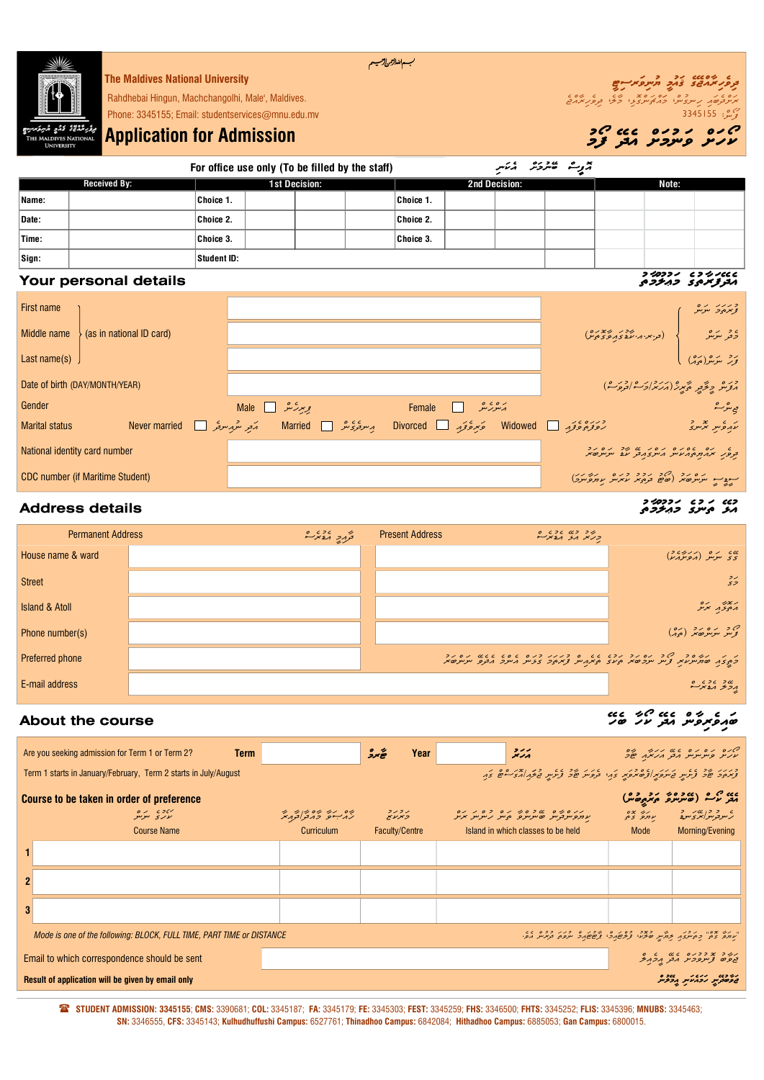

For office use only (To be filled by the staff)

އޮފީސް ބޭނުމަށް އެކަނި Sign: Received By: 1st Decision: 2nd Decision: Note: 1st Decision: Student ID: 2nd Decision:

## Your personal details utWmUluAwm egutWrwfEdea

| First name                    |                                         |                                                                                                      |                                                  |                                                                              | בגגג גם<br>צי <i>יגים</i> ענית |
|-------------------------------|-----------------------------------------|------------------------------------------------------------------------------------------------------|--------------------------------------------------|------------------------------------------------------------------------------|--------------------------------|
| Middle name                   | (as in national ID card)                |                                                                                                      |                                                  | لى (ترېبر پرېز پرېده)                                                        | ے دیں دوسرے<br>دفتر سرسر       |
| Last name $(s)$               |                                         |                                                                                                      |                                                  |                                                                              | ىرد بىرىپ <sub>ر(مۇ</sub> ر)   |
|                               | Date of birth (DAY/MONTH/YEAR)          |                                                                                                      |                                                  | وره دغور محبر (مركز الحادوره)                                                |                                |
| Gender                        |                                         | بریر کشر Male ⊡                                                                                      |                                                  |                                                                              | ى <i>ي مۇ</i> رىشە             |
| <b>Marital status</b>         |                                         | م بہ سریح کی سر کی جا Married کے Never married کے Married کی بہت کر اس این اس کا اس کا اس کا اس کا ا | Sivorced Sexual States ويوة في Divorced Divorced |                                                                              | ת הפית הצייק                   |
| National identity card number |                                         |                                                                                                      |                                                  | ג ני ני הודים ניסיג שיני ניסיגר.<br>בנפיג הנחת המעית הית בהבני על יתייתים בנ |                                |
|                               | <b>CDC</b> number (if Maritime Student) |                                                                                                      |                                                  | תובית ניקוד בין הכל כנס נושינו                                               |                                |

### Address details

| <b>Permanent Address</b>  |  | בתק גיע | <b>Present Address</b> |                                                                                                                                                                                   |
|---------------------------|--|---------|------------------------|-----------------------------------------------------------------------------------------------------------------------------------------------------------------------------------|
| House name & ward         |  |         |                        |                                                                                                                                                                                   |
| <b>Street</b>             |  |         |                        | $\frac{2}{5}$                                                                                                                                                                     |
| <b>Island &amp; Atoll</b> |  |         |                        | גודל גם<br>גיפידו יציר                                                                                                                                                            |
| Phone number(s)           |  |         |                        | ص د بره رو (ده)<br>وس سرسو ده د (دوم)                                                                                                                                             |
| Preferred phone           |  |         |                        | ן גן גודים דרך די הסיקר קרש ששון סורקקוד דקים שמשום משקים קרים.<br>בתוצף סתיית מודע צווי וקדשות המצויק מודעות המודעות האות מודעות מודעות ואות המודעות המודעות האות המודעות המודעו |
| E-mail address            |  |         |                        | رونو مونده<br>پرونو مونده                                                                                                                                                         |

# About the course Eheb WhOk Edea cnWvir eviawb

| Are you seeking admission for Term 1 or Term 2?<br><b>Term</b>                                     |                             | ھُبرد<br>Year                                | $\frac{1}{1}$                                                                                          | קום גם גם גם גודל עם                                                                                                                                                                                                                                        |  |  |  |
|----------------------------------------------------------------------------------------------------|-----------------------------|----------------------------------------------|--------------------------------------------------------------------------------------------------------|-------------------------------------------------------------------------------------------------------------------------------------------------------------------------------------------------------------------------------------------------------------|--|--|--|
| Term 1 starts in January/February, Term 2 starts in July/August                                    |                             |                                              |                                                                                                        | בגוג על גם על הודע להודע להודע להודע להודע להודע להם על הודע להודע להודע להודע להודע להודע להודע להודע להודע ל                                                                                                                                              |  |  |  |
| Course to be taken in order of preference<br>יזכ <sub>י</sub> גם<br>עקב טקטק<br><b>Course Name</b> | ره بر ده در د<br>Curriculum | ג ב ג ב<br>היינו אי<br><b>Faculty/Centre</b> | נגם גם גם כם גם כם כם גם<br>עותפית בתיית וסיתייתים ובית מית התית<br>Island in which classes to be held | כ כן של כדון לא הם בית בית המודעים בית המודעים בית המודעים בית המודעים בית המודעים בית המודעים בית המודעים בית<br>המודעים בית המודעים בית המודעים בית המודעים בית המודעים בית המודעים בית המודעים בית המודעים בית המודעים בית המ<br>Morning/Evening<br>Mode |  |  |  |
|                                                                                                    |                             |                                              |                                                                                                        |                                                                                                                                                                                                                                                             |  |  |  |
|                                                                                                    |                             |                                              |                                                                                                        |                                                                                                                                                                                                                                                             |  |  |  |
|                                                                                                    |                             |                                              |                                                                                                        |                                                                                                                                                                                                                                                             |  |  |  |
| Mode is one of the following: BLOCK, FULL TIME, PART TIME or DISTANCE                              |                             |                                              |                                                                                                        |                                                                                                                                                                                                                                                             |  |  |  |
| Email to which correspondence should be sent                                                       |                             |                                              |                                                                                                        | קטר ב דרקם מים מים.<br>בופים צייקפריק הבן הבהיב                                                                                                                                                                                                             |  |  |  |
| ני כשי הבגיע, הכלית<br>Result of application will be given by email only                           |                             |                                              |                                                                                                        |                                                                                                                                                                                                                                                             |  |  |  |

( STUDENT ADMISSION: 3345155; CMS: 3390681; COL: 3345187; FA: 3345179; FE: 3345303; FEST: 3345259; FHS: 3346500; FHTS: 3345252; FLIS: 3345396; MNUBS: 3345463; SN: 3346555, CFS: 3345143; Kulhudhuffushi Campus: 6527761; Thinadhoo Campus: 6842084; Hithadhoo Campus: 6885053; Gan Campus: 6800015.

#### W CCC וכדו*טיר*<br>היב היינג *בה<del>ל</del>ב*ה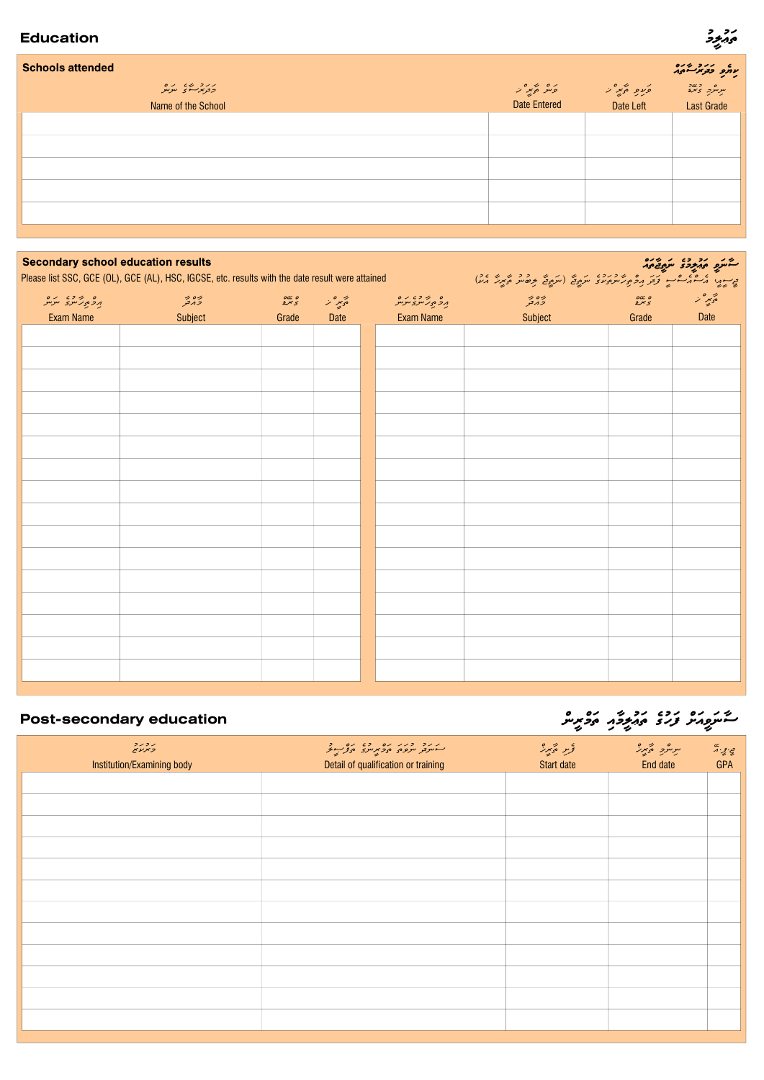### Education

### I ر د<br>پېړيون

| <b>Schools attended</b>                                  |                                  |                        | עתם בבמשית                                       |
|----------------------------------------------------------|----------------------------------|------------------------|--------------------------------------------------|
| קקב פיז קקס<br>פב <i>ונקיש</i> י פ<br>Name of the School | كومو كالمحير الر<br>Date Entered | ورو وتبرا<br>Date Left | ת כשב<br>תניתוב בימ <mark>ב</mark><br>Last Grade |
|                                                          |                                  |                        |                                                  |
|                                                          |                                  |                        |                                                  |
|                                                          |                                  |                        |                                                  |
|                                                          |                                  |                        |                                                  |
|                                                          |                                  |                        |                                                  |
|                                                          |                                  |                        |                                                  |

| <b>Secondary school education results</b> | Please list SSC, GCE (OL), GCE (AL), HSC, IGCSE, etc. results with the date result were attained |                  |                | كشرو ومزددة سروفيوم                                  |                                                                       |                 |                 |
|-------------------------------------------|--------------------------------------------------------------------------------------------------|------------------|----------------|------------------------------------------------------|-----------------------------------------------------------------------|-----------------|-----------------|
| ם שיכש תם<br>גבתו ייצב ייצייל             | ره ه بر<br>د بر تو                                                                               | $rac{o}{2}x$ $5$ | پر میں<br>حوید | ם קובש גם<br>גב <sub>יפ</sub> ג'ייצ <sup>א</sup> ינט | ביתוי הים בית בב תכתיעת מיו ייתה ועל בשית היית בין<br>رس در<br>مرد تو | $\frac{occ}{2}$ | پھر مور<br>حويد |
| <b>Exam Name</b>                          | Subject                                                                                          | Grade            | Date           | <b>Exam Name</b>                                     | Subject                                                               | Grade           | <b>Date</b>     |
|                                           |                                                                                                  |                  |                |                                                      |                                                                       |                 |                 |
|                                           |                                                                                                  |                  |                |                                                      |                                                                       |                 |                 |
|                                           |                                                                                                  |                  |                |                                                      |                                                                       |                 |                 |
|                                           |                                                                                                  |                  |                |                                                      |                                                                       |                 |                 |
|                                           |                                                                                                  |                  |                |                                                      |                                                                       |                 |                 |
|                                           |                                                                                                  |                  |                |                                                      |                                                                       |                 |                 |
|                                           |                                                                                                  |                  |                |                                                      |                                                                       |                 |                 |
|                                           |                                                                                                  |                  |                |                                                      |                                                                       |                 |                 |
|                                           |                                                                                                  |                  |                |                                                      |                                                                       |                 |                 |
|                                           |                                                                                                  |                  |                |                                                      |                                                                       |                 |                 |
|                                           |                                                                                                  |                  |                |                                                      |                                                                       |                 |                 |
|                                           |                                                                                                  |                  |                |                                                      |                                                                       |                 |                 |
|                                           |                                                                                                  |                  |                |                                                      |                                                                       |                 |                 |
|                                           |                                                                                                  |                  |                |                                                      |                                                                       |                 |                 |
|                                           |                                                                                                  |                  |                |                                                      |                                                                       |                 |                 |
|                                           |                                                                                                  |                  |                |                                                      |                                                                       |                 |                 |
|                                           |                                                                                                  |                  |                |                                                      |                                                                       |                 |                 |
|                                           |                                                                                                  |                  |                |                                                      |                                                                       |                 |                 |
|                                           |                                                                                                  |                  |                |                                                      |                                                                       |                 |                 |
|                                           |                                                                                                  |                  |                |                                                      |                                                                       |                 |                 |

## Post-secondary education

#### I ستسرع ورقعت ويتوجد محدس I

|                                             |                                                                | $\sim$ $\sim$ $\sim$  |                         | ▼                            |
|---------------------------------------------|----------------------------------------------------------------|-----------------------|-------------------------|------------------------------|
| ג בגב<br>כאנע<br>Institution/Examining body | גנב בנגנם בכתבים ביינים<br>Detail of qualification or training | و معروف<br>Start date | سرمرد ءتجرز<br>End date | ې بې ده.<br>دې<br><b>GPA</b> |
|                                             |                                                                |                       |                         |                              |
|                                             |                                                                |                       |                         |                              |
|                                             |                                                                |                       |                         |                              |
|                                             |                                                                |                       |                         |                              |
|                                             |                                                                |                       |                         |                              |
|                                             |                                                                |                       |                         |                              |
|                                             |                                                                |                       |                         |                              |
|                                             |                                                                |                       |                         |                              |
|                                             |                                                                |                       |                         |                              |
|                                             |                                                                |                       |                         |                              |
|                                             |                                                                |                       |                         |                              |
|                                             |                                                                |                       |                         |                              |
|                                             |                                                                |                       |                         |                              |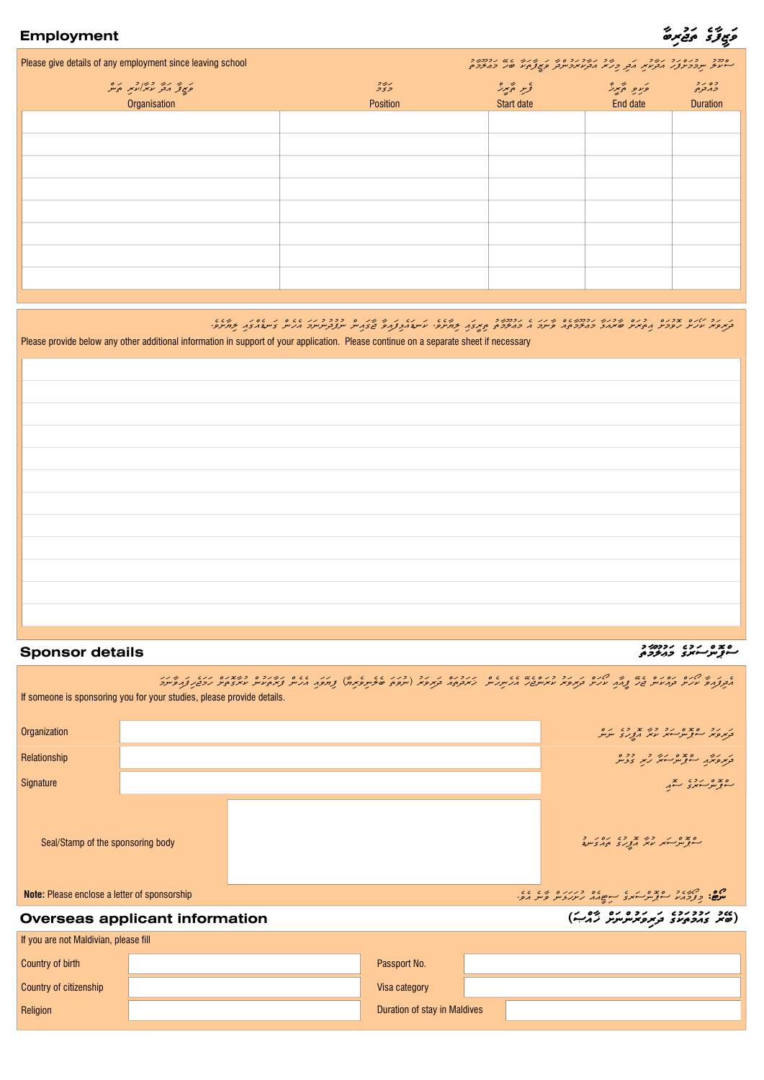| Please give details of any employment since leaving school |                 | סדוב - בנסגב געב - גב הגבר גבר ג' ג' ג' ג' ג' מינוב.<br>היעיץ תבכת צו הבנטיק הצק כנ"ז, הבנטיקביובק פיצוציזע וסמ' בודיבריז. |          |                         |  |  |
|------------------------------------------------------------|-----------------|----------------------------------------------------------------------------------------------------------------------------|----------|-------------------------|--|--|
| وَبِي تِهِ رَبِّهِ دَبِرًا رَبِّهِ وَبَنْرَ                | $\frac{2}{2}$   |                                                                                                                            |          | وه رو<br><i>د</i> ړنونۍ |  |  |
| Organisation                                               | <b>Position</b> | Start date                                                                                                                 | End date | <b>Duration</b>         |  |  |
|                                                            |                 |                                                                                                                            |          |                         |  |  |
|                                                            |                 |                                                                                                                            |          |                         |  |  |
|                                                            |                 |                                                                                                                            |          |                         |  |  |
|                                                            |                 |                                                                                                                            |          |                         |  |  |
|                                                            |                 |                                                                                                                            |          |                         |  |  |
|                                                            |                 |                                                                                                                            |          |                         |  |  |
|                                                            |                 |                                                                                                                            |          |                         |  |  |
|                                                            |                 |                                                                                                                            |          |                         |  |  |
|                                                            |                 |                                                                                                                            |          |                         |  |  |

## .eveSWyil iawgcaeDngw cnehea wmwnundu ufun cniagw Wj WviawfiLeawDnkw .eveSWyil iawgIrit utWmUlAu wm ea wmwnWv caetWmUluAwm WLwaurWb cSwrutia cSwmuvoh cSwhOk urwvirwd

Please provide below any other additional information in support of your application. Please continue on a separate sheet if necessary

# Sponsor details utWmUluAwm egur wscnopcs

|                                                                                          | If someone is sponsoring you for your studies, please provide details. |                              | ג ג'ק למי הסגס המודע ביו למס ג' הכרכוס גם גם הם ההכנס ג' הכרכום ג' גם מודע המודע הסגס המיכס כמובנס הגג' ג' מיה<br>הפקדום עקיד תחיניות בין קרוח עקיד תומים עזמיים מקווק מיק המתואד או במפאד או או מודע למודע או מודע ממודע החודע |
|------------------------------------------------------------------------------------------|------------------------------------------------------------------------|------------------------------|---------------------------------------------------------------------------------------------------------------------------------------------------------------------------------------------------------------------------------|
| Organization                                                                             |                                                                        |                              | ב די כדי המודע המודע בין המודע.<br>בנית פינו המודע שיות המודע ונות                                                                                                                                                              |
| Relationship                                                                             |                                                                        |                              | د در در ۱۶۶۵ مرد در ۲۶۶                                                                                                                                                                                                         |
| Signature                                                                                |                                                                        |                              | ەبىرە دەپرى تە <sub>ب</sub> ر                                                                                                                                                                                                   |
| Seal/Stamp of the sponsoring body<br><b>Note:</b> Please enclose a letter of sponsorship |                                                                        |                              | ם 2 ם ג' כל 2 כם גם ג' כ<br>התנוק הזה עזה הציגוב יצו <i>ח</i> בייתב                                                                                                                                                             |
|                                                                                          | <b>Overseas applicant information</b>                                  |                              | כמב נכבנכם בתפתסתיינית בים)                                                                                                                                                                                                     |
| If you are not Maldivian, please fill                                                    |                                                                        |                              |                                                                                                                                                                                                                                 |
| Country of birth                                                                         |                                                                        | Passport No.                 |                                                                                                                                                                                                                                 |
| Country of citizenship                                                                   |                                                                        | Visa category                |                                                                                                                                                                                                                                 |
| Religion                                                                                 |                                                                        | Duration of stay in Maldives |                                                                                                                                                                                                                                 |